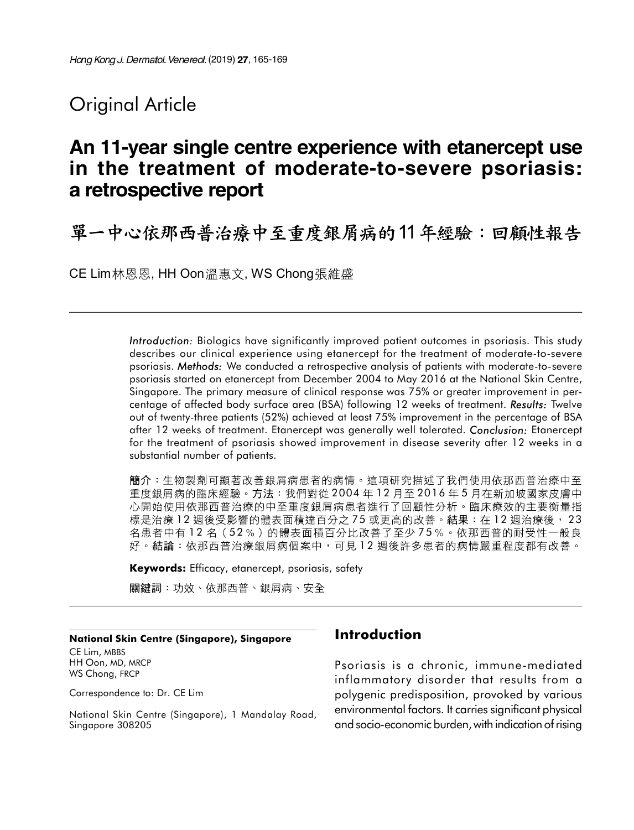## Original Article

# An 11-year single centre experience with etanercept use in the treatment of moderate-to-severe psoriasis: a retrospective report

單一中心依那西普治療中至重度銀屑病的11年經驗:回顧性報告

CE Lim 林恩恩, HH Oon 溫惠文, WS Chong 張維盛

Introduction: Biologics have significantly improved patient outcomes in psoriasis. This study describes our clinical experience using etanercept for the treatment of moderate-to-severe psoriasis. Methods: We conducted a retrospective analysis of patients with moderate-to-severe psoriasis started on etanercept from December 2004 to May 2016 at the National Skin Centre, Singapore. The primary measure of clinical response was 75% or greater improvement in percentage of affected body surface area (BSA) following 12 weeks of treatment. Results: Twelve out of twenty-three patients (52%) achieved at least 75% improvement in the percentage of BSA after 12 weeks of treatment. Etanercept was generally well tolerated. Conclusion: Etanercept for the treatment of psoriasis showed improvement in disease severity after 12 weeks in a substantial number of patients.

簡介:生物製劑可顯著改善銀屑病患者的病情。這項研究描述了我們使用依那西普治療中至 重度銀屑病的臨床經驗。方法:我們對從 2004 年 12 月至 2016 年 5 月在新加坡國家皮膚中 心開始使用依那西普治療的中至重度銀屑病患者進行了回顧性分析。臨床療效的主要衡量指 標是治療12週後受影響的體表面積達百分之75或更高的改善。結果:在12週治療後, 23 名患者中有12名(52%)的體表面積百分比改善了至少75%。依那西普的耐受性一般良 好。結論:依那西普治療銀屑病個案中,可見12 绸後許多患者的病情嚴重程度都有改善。

Keywords: Efficacy, etanercept, psoriasis, safety

關鍵詞:功效、依那西普、銀屑病、安全

#### National Skin Centre (Singapore), Singapore

CE Lim, MBBS HH Oon, MD, MRCP WS Chong, FRCP

Correspondence to: Dr. CE Lim

National Skin Centre (Singapore), 1 Mandalay Road, Singapore 308205

## Introduction

Psoriasis is a chronic, immune-mediated inflammatory disorder that results from a polygenic predisposition, provoked by various environmental factors. It carries significant physical and socio-economic burden, with indication of rising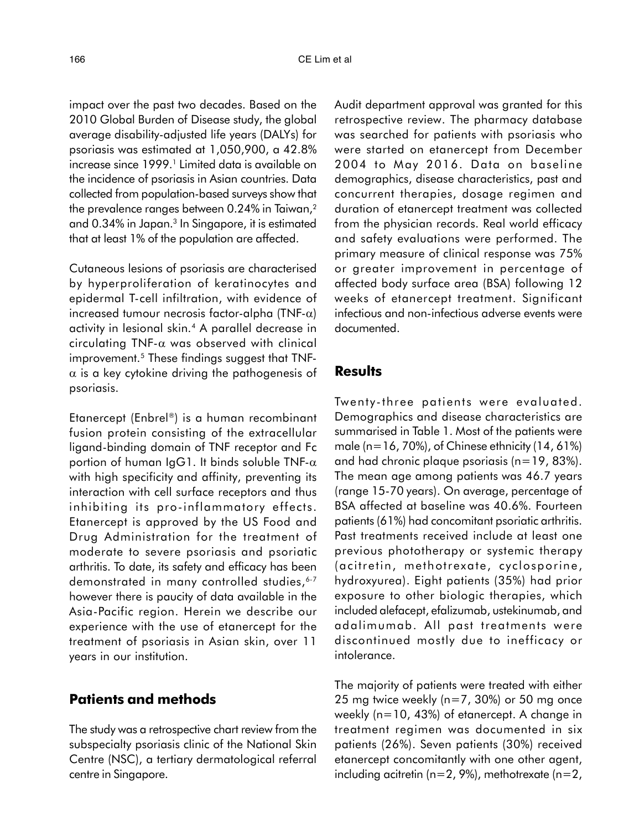impact over the past two decades. Based on the 2010 Global Burden of Disease study, the global average disability-adjusted life years (DALYs) for psoriasis was estimated at 1,050,900, a 42.8% increase since 1999.' Limited data is available on the incidence of psoriasis in Asian countries. Data collected from population-based surveys show that the prevalence ranges between 0.24% in Taiwan,<sup>2</sup> and 0.34% in Japan.<sup>3</sup> In Singapore, it is estimated that at least 1% of the population are affected.

Cutaneous lesions of psoriasis are characterised by hyperproliferation of keratinocytes and epidermal T-cell infiltration, with evidence of increased tumour necrosis factor-alpha (TNF- $\alpha$ ) activity in lesional skin.<sup>4</sup> A parallel decrease in circulating TNF- $\alpha$  was observed with clinical improvement.<sup>5</sup> These findings suggest that TNF- $\alpha$  is a key cytokine driving the pathogenesis of psoriasis.

Etanercept (Enbrel®) is a human recombinant fusion protein consisting of the extracellular ligand-binding domain of TNF receptor and Fc portion of human IgG1. It binds soluble TNF- $\alpha$ with high specificity and affinity, preventing its interaction with cell surface receptors and thus inhibiting its pro-inflammatory effects. Etanercept is approved by the US Food and Drug Administration for the treatment of moderate to severe psoriasis and psoriatic arthritis. To date, its safety and efficacy has been demonstrated in many controlled studies, 6-7 however there is paucity of data available in the Asia-Pacific region. Herein we describe our experience with the use of etanercept for the treatment of psoriasis in Asian skin, over 11 years in our institution.

### Patients and methods

The study was a retrospective chart review from the subspecialty psoriasis clinic of the National Skin Centre (NSC), a tertiary dermatological referral centre in Singapore.

Audit department approval was granted for this retrospective review. The pharmacy database was searched for patients with psoriasis who were started on etanercept from December 2004 to May 2016. Data on baseline demographics, disease characteristics, past and concurrent therapies, dosage regimen and duration of etanercept treatment was collected from the physician records. Real world efficacy and safety evaluations were performed. The primary measure of clinical response was 75% or greater improvement in percentage of affected body surface area (BSA) following 12 weeks of etanercept treatment. Significant infectious and non-infectious adverse events were documented.

### **Results**

Twenty-three patients were evaluated. Demographics and disease characteristics are summarised in Table 1. Most of the patients were male (n=16, 70%), of Chinese ethnicity  $(14, 61%)$ and had chronic plaque psoriasis (n=19, 83%). The mean age among patients was 46.7 years (range 15-70 years). On average, percentage of BSA affected at baseline was 40.6%. Fourteen patients (61%) had concomitant psoriatic arthritis. Past treatments received include at least one previous phototherapy or systemic therapy (acitretin, methotrexate, cyclosporine, hydroxyurea). Eight patients (35%) had prior exposure to other biologic therapies, which included alefacept, efalizumab, ustekinumab, and adalimumab. All past treatments were discontinued mostly due to inefficacy or intolerance.

The majority of patients were treated with either 25 mg twice weekly (n=7, 30%) or 50 mg once weekly (n=10, 43%) of etanercept. A change in treatment regimen was documented in six patients (26%). Seven patients (30%) received etanercept concomitantly with one other agent, including acitretin ( $n=2$ , 9%), methotrexate ( $n=2$ ,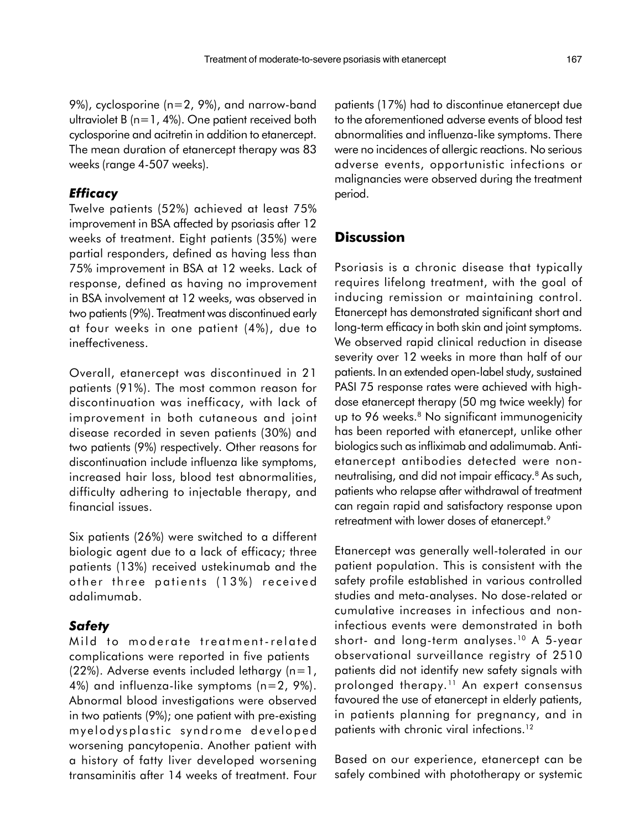9%), cyclosporine (n=2, 9%), and narrow-band ultraviolet B (n=1, 4%). One patient received both cyclosporine and acitretin in addition to etanercept. The mean duration of etanercept therapy was 83 weeks (range 4-507 weeks).

#### **Efficacy**

Twelve patients (52%) achieved at least 75% improvement in BSA affected by psoriasis after 12 weeks of treatment. Eight patients (35%) were partial responders, defined as having less than 75% improvement in BSA at 12 weeks. Lack of response, defined as having no improvement in BSA involvement at 12 weeks, was observed in two patients (9%). Treatment was discontinued early at four weeks in one patient (4%), due to ineffectiveness.

Overall, etanercept was discontinued in 21 patients (91%). The most common reason for discontinuation was inefficacy, with lack of improvement in both cutaneous and joint disease recorded in seven patients (30%) and two patients (9%) respectively. Other reasons for discontinuation include influenza like symptoms, increased hair loss, blood test abnormalities, difficulty adhering to injectable therapy, and financial issues.

Six patients (26%) were switched to a different biologic agent due to a lack of efficacy; three patients (13%) received ustekinumab and the other three patients (13%) received adalimumab.

### **Safety**

Mild to moderate treatment-related complications were reported in five patients  $(22%)$ . Adverse events included lethargy  $(n=1)$ , 4%) and influenza-like symptoms (n=2, 9%). Abnormal blood investigations were observed in two patients (9%); one patient with pre-existing myelod ysplastic synd rome develop ed worsening pancytopenia. Another patient with a history of fatty liver developed worsening transaminitis after 14 weeks of treatment. Four patients (17%) had to discontinue etanercept due to the aforementioned adverse events of blood test abnormalities and influenza-like symptoms. There were no incidences of allergic reactions. No serious adverse events, opportunistic infections or malignancies were observed during the treatment period.

## **Discussion**

Psoriasis is a chronic disease that typically requires lifelong treatment, with the goal of inducing remission or maintaining control. Etanercept has demonstrated significant short and long-term efficacy in both skin and joint symptoms. We observed rapid clinical reduction in disease severity over 12 weeks in more than half of our patients. In an extended open-label study, sustained PASI 75 response rates were achieved with highdose etanercept therapy (50 mg twice weekly) for up to 96 weeks.<sup>8</sup> No significant immunogenicity has been reported with etanercept, unlike other biologics such as infliximab and adalimumab. Antietanercept antibodies detected were nonneutralising, and did not impair efficacy.<sup>8</sup> As such, patients who relapse after withdrawal of treatment can regain rapid and satisfactory response upon retreatment with lower doses of etanercept.<sup>9</sup>

Etanercept was generally well-tolerated in our patient population. This is consistent with the safety profile established in various controlled studies and meta-analyses. No dose-related or cumulative increases in infectious and noninfectious events were demonstrated in both short- and long-term analyses.<sup>10</sup> A 5-year observational surveillance registry of 2510 patients did not identify new safety signals with prolonged therapy.<sup>11</sup> An expert consensus favoured the use of etanercept in elderly patients, in patients planning for pregnancy, and in patients with chronic viral infections.<sup>12</sup>

Based on our experience, etanercept can be safely combined with phototherapy or systemic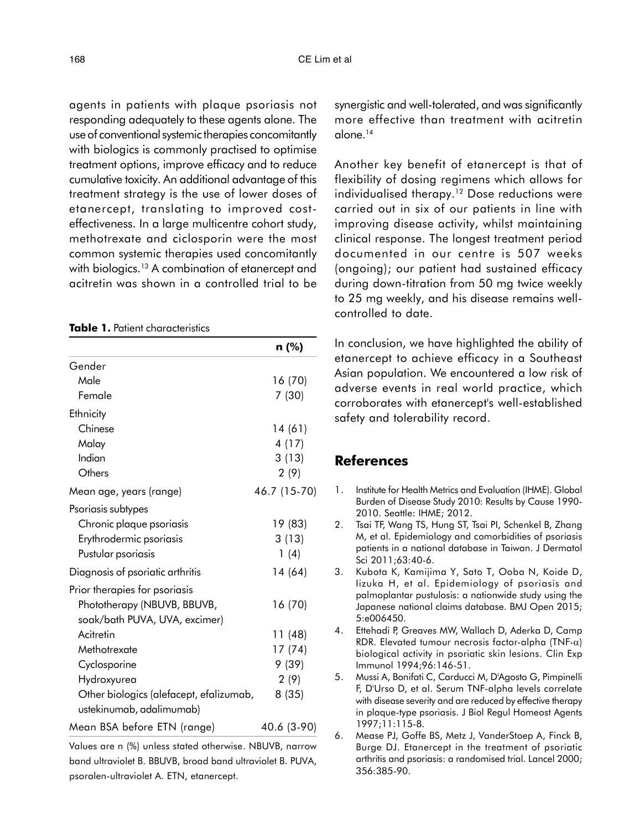agents in patients with plaque psoriasis not responding adequately to these agents alone. The use of conventional systemic therapies concomitantly with biologics is commonly practised to optimise treatment options, improve efficacy and to reduce cumulative toxicity. An additional advantage of this treatment strategy is the use of lower doses of etanercept, translating to improved costeffectiveness. In a large multicentre cohort study, methotrexate and ciclosporin were the most common systemic therapies used concomitantly with biologics.<sup>13</sup> A combination of etanercept and acitretin was shown in a controlled trial to be

#### Table 1. Patient characteristics

|                                                                     | n (%)        |
|---------------------------------------------------------------------|--------------|
| Gender                                                              |              |
| Male                                                                | 16 (70)      |
| Female                                                              | 7(30)        |
| Ethnicity                                                           |              |
| Chinese                                                             | 14 (61)      |
| Malay                                                               | 4(17)        |
| Indian                                                              | 3(13)        |
| Others                                                              | 2(9)         |
| Mean age, years (range)                                             | 46.7 (15-70) |
| Psoriasis subtypes                                                  |              |
| Chronic plaque psoriasis                                            | 19 (83)      |
| Erythrodermic psoriasis                                             | 3(13)        |
| Pustular psoriasis                                                  | 1(4)         |
| Diagnosis of psoriatic arthritis                                    | 14 (64)      |
| Prior therapies for psoriasis                                       |              |
| Phototherapy (NBUVB, BBUVB,                                         | 16 (70)      |
| soak/bath PUVA, UVA, excimer)                                       |              |
| Acitretin                                                           | 11 (48)      |
| Methotrexate                                                        | 17 (74)      |
| Cyclosporine                                                        | 9(39)        |
| Hydroxyurea                                                         | 2(9)         |
| Other biologics (alefacept, efalizumab,<br>ustekinumab, adalimumab) | 8(35)        |
| Mean BSA before ETN (range)                                         | 40.6 (3-90)  |

Values are n (%) unless stated otherwise. NBUVB, narrow band ultraviolet B. BBUVB, broad band ultraviolet B. PUVA, psoralen-ultraviolet A. ETN, etanercept.

synergistic and well-tolerated, and was significantly more effective than treatment with acitretin alone.<sup>14</sup>

Another key benefit of etanercept is that of flexibility of dosing regimens which allows for individualised therapy.<sup>12</sup> Dose reductions were carried out in six of our patients in line with improving disease activity, whilst maintaining clinical response. The longest treatment period documented in our centre is 507 weeks (ongoing); our patient had sustained efficacy during down-titration from 50 mg twice weekly to 25 mg weekly, and his disease remains wellcontrolled to date.

In conclusion, we have highlighted the ability of etanercept to achieve efficacy in a Southeast Asian population. We encountered a low risk of adverse events in real world practice, which corroborates with etanercept's well-established safety and tolerability record.

## References

- 1. Institute for Health Metrics and Evaluation (IHME). Global Burden of Disease Study 2010: Results by Cause 1990- 2010. Seattle: IHME; 2012.
- 2. Tsai TF, Wang TS, Hung ST, Tsai PI, Schenkel B, Zhang M, et al. Epidemiology and comorbidities of psoriasis patients in a national database in Taiwan. J Dermatol Sci 2011;63:40-6.
- 3. Kubota K, Kamijima Y, Sato T, Ooba N, Koide D, Iizuka H, et al. Epidemiology of psoriasis and palmoplantar pustulosis: a nationwide study using the Japanese national claims database. BMJ Open 2015; 5:e006450.
- 4. Ettehadi P, Greaves MW, Wallach D, Aderka D, Camp RDR. Elevated tumour necrosis factor-alpha (TNF- $\alpha$ ) biological activity in psoriatic skin lesions. Clin Exp Immunol 1994;96:146-51.
- 5. Mussi A, Bonifati C, Carducci M, D'Agosto G, Pimpinelli F, D'Urso D, et al. Serum TNF-alpha levels correlate with disease severity and are reduced by effective therapy in plaque-type psoriasis. J Biol Regul Homeost Agents 1997;11:115-8.
- 6. Mease PJ, Goffe BS, Metz J, VanderStoep A, Finck B, Burge DJ. Etanercept in the treatment of psoriatic arthritis and psoriasis: a randomised trial. Lancel 2000; 356:385-90.